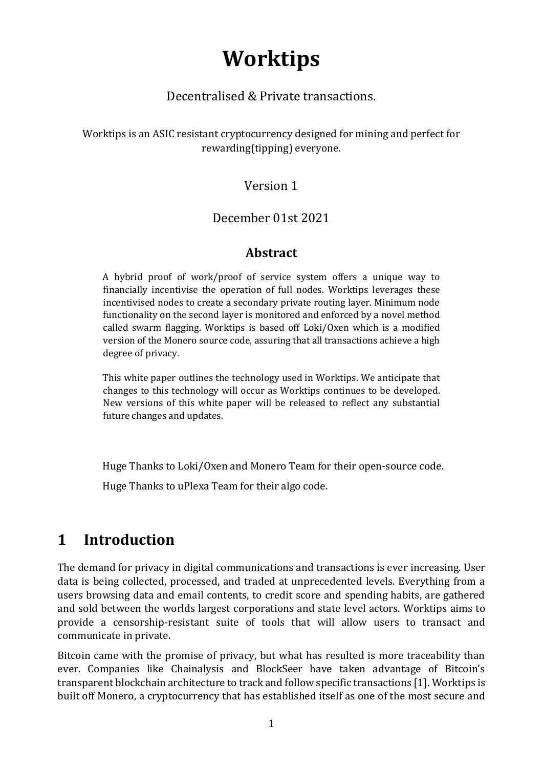# **Worktips**

#### Decentralised & Private transactions.

Worktips is an ASIC resistant cryptocurrency designed for mining and perfect for rewarding(tipping) everyone.

#### Version 1

#### December 01st 2021

#### **Abstract**

A hybrid proof of work/proof of service system offers a unique way to financially incentivise the operation of full nodes. Worktips leverages these incentivised nodes to create a secondary private routing layer. Minimum node functionality on the second layer is monitored and enforced by a novel method called swarm flagging. Worktips is based off Loki/Oxen which is a modified version of the Monero source code, assuring that all transactions achieve a high degree of privacy.

This white paper outlines the technology used in Worktips. We anticipate that changes to this technology will occur as Worktips continues to be developed. New versions of this white paper will be released to reflect any substantial future changes and updates.

Huge Thanks to Loki/Oxen and Monero Team for their open-source code.

Huge Thanks to uPlexa Team for their algo code.

### **1 Introduction**

The demand for privacy in digital communications and transactions is ever increasing. User data is being collected, processed, and traded at unprecedented levels. Everything from a users browsing data and email contents, to credit score and spending habits, are gathered and sold between the worlds largest corporations and state level actors. Worktips aims to provide a censorship-resistant suite of tools that will allow users to transact and communicate in private.

Bitcoin came with the promise of privacy, but what has resulted is more traceability than ever. Companies like Chainalysis and BlockSeer have taken advantage of Bitcoin's transparent blockchain architecture to track and follow specific transactions [1]. Worktips is built off Monero, a cryptocurrency that has established itself as one of the most secure and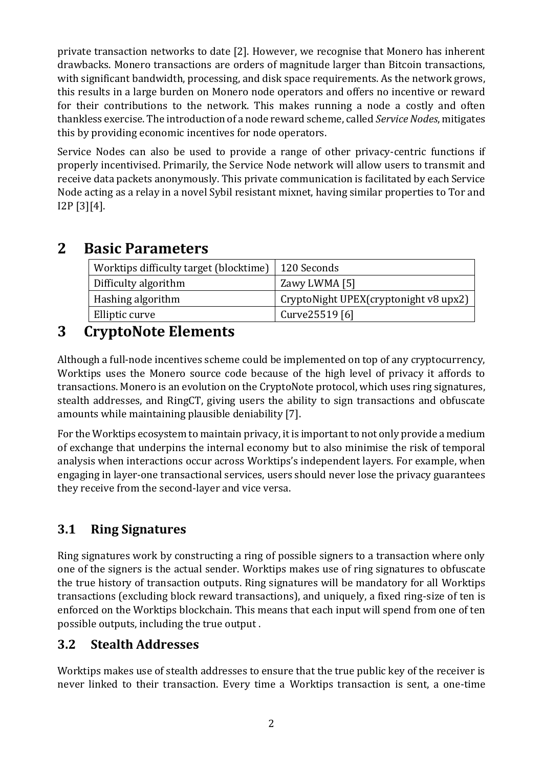private transaction networks to date [2]. However, we recognise that Monero has inherent drawbacks. Monero transactions are orders of magnitude larger than Bitcoin transactions, with significant bandwidth, processing, and disk space requirements. As the network grows, this results in a large burden on Monero node operators and offers no incentive or reward for their contributions to the network. This makes running a node a costly and often thankless exercise. The introduction of a node reward scheme, called *Service Nodes*, mitigates this by providing economic incentives for node operators.

Service Nodes can also be used to provide a range of other privacy-centric functions if properly incentivised. Primarily, the Service Node network will allow users to transmit and receive data packets anonymously. This private communication is facilitated by each Service Node acting as a relay in a novel Sybil resistant mixnet, having similar properties to Tor and I2P [3][4].

### **2 Basic Parameters**

| Worktips difficulty target (blocktime)   120 Seconds |                                         |
|------------------------------------------------------|-----------------------------------------|
| Difficulty algorithm                                 | Zawy LWMA [5]                           |
| Hashing algorithm                                    | CryptoNight UPEX(cryptonight $v8$ upx2) |
| Elliptic curve                                       | Curve25519 [6]                          |

# **3 CryptoNote Elements**

Although a full-node incentives scheme could be implemented on top of any cryptocurrency, Worktips uses the Monero source code because of the high level of privacy it affords to transactions. Monero is an evolution on the CryptoNote protocol, which uses ring signatures, stealth addresses, and RingCT, giving users the ability to sign transactions and obfuscate amounts while maintaining plausible deniability [7].

For the Worktips ecosystem to maintain privacy, it is important to not only provide a medium of exchange that underpins the internal economy but to also minimise the risk of temporal analysis when interactions occur across Worktips's independent layers. For example, when engaging in layer-one transactional services, users should never lose the privacy guarantees they receive from the second-layer and vice versa.

### **3.1 Ring Signatures**

Ring signatures work by constructing a ring of possible signers to a transaction where only one of the signers is the actual sender. Worktips makes use of ring signatures to obfuscate the true history of transaction outputs. Ring signatures will be mandatory for all Worktips transactions (excluding block reward transactions), and uniquely, a fixed ring-size of ten is enforced on the Worktips blockchain. This means that each input will spend from one of ten possible outputs, including the true output .

### **3.2 Stealth Addresses**

Worktips makes use of stealth addresses to ensure that the true public key of the receiver is never linked to their transaction. Every time a Worktips transaction is sent, a one-time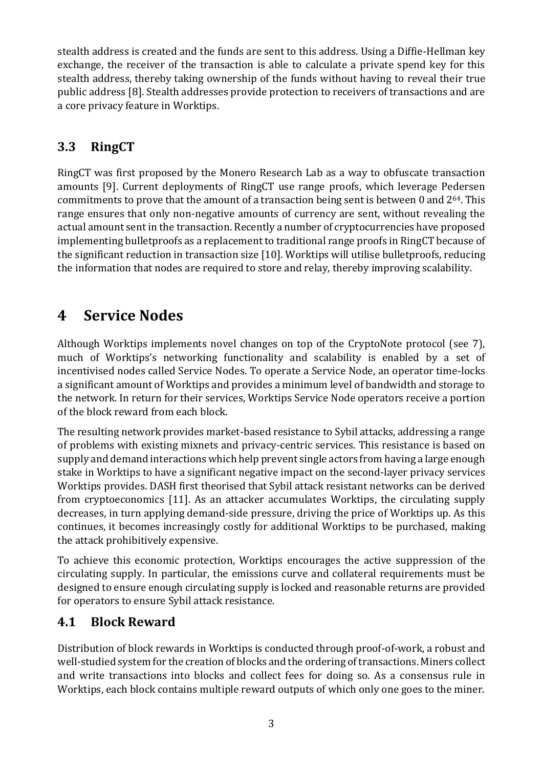stealth address is created and the funds are sent to this address. Using a Diffie-Hellman key exchange, the receiver of the transaction is able to calculate a private spend key for this stealth address, thereby taking ownership of the funds without having to reveal their true public address [8]. Stealth addresses provide protection to receivers of transactions and are a core privacy feature in Worktips.

### **3.3 RingCT**

RingCT was first proposed by the Monero Research Lab as a way to obfuscate transaction amounts [9]. Current deployments of RingCT use range proofs, which leverage Pedersen commitments to prove that the amount of a transaction being sent is between 0 and 264. This range ensures that only non-negative amounts of currency are sent, without revealing the actual amount sent in the transaction. Recently a number of cryptocurrencies have proposed implementing bulletproofs as a replacement to traditional range proofs in RingCT because of the significant reduction in transaction size [10]. Worktips will utilise bulletproofs, reducing the information that nodes are required to store and relay, thereby improving scalability.

# **4 Service Nodes**

Although Worktips implements novel changes on top of the CryptoNote protocol (see 7), much of Worktips's networking functionality and scalability is enabled by a set of incentivised nodes called Service Nodes. To operate a Service Node, an operator time-locks a significant amount of Worktips and provides a minimum level of bandwidth and storage to the network. In return for their services, Worktips Service Node operators receive a portion of the block reward from each block.

The resulting network provides market-based resistance to Sybil attacks, addressing a range of problems with existing mixnets and privacy-centric services. This resistance is based on supply and demand interactions which help prevent single actors from having a large enough stake in Worktips to have a significant negative impact on the second-layer privacy services Worktips provides. DASH first theorised that Sybil attack resistant networks can be derived from cryptoeconomics [11]. As an attacker accumulates Worktips, the circulating supply decreases, in turn applying demand-side pressure, driving the price of Worktips up. As this continues, it becomes increasingly costly for additional Worktips to be purchased, making the attack prohibitively expensive.

To achieve this economic protection, Worktips encourages the active suppression of the circulating supply. In particular, the emissions curve and collateral requirements must be designed to ensure enough circulating supply is locked and reasonable returns are provided for operators to ensure Sybil attack resistance.

### **4.1 Block Reward**

Distribution of block rewards in Worktips is conducted through proof-of-work, a robust and well-studied system for the creation of blocks and the ordering of transactions. Miners collect and write transactions into blocks and collect fees for doing so. As a consensus rule in Worktips, each block contains multiple reward outputs of which only one goes to the miner.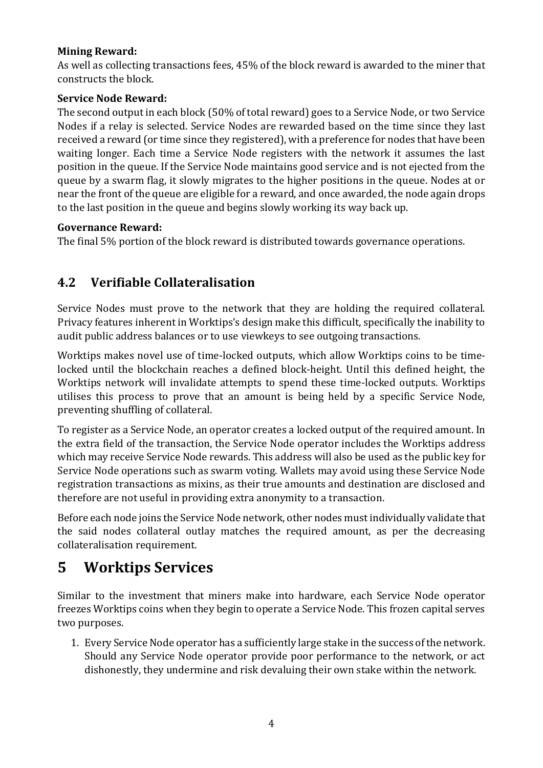#### **Mining Reward:**

As well as collecting transactions fees, 45% of the block reward is awarded to the miner that constructs the block.

#### **Service Node Reward:**

The second output in each block (50% of total reward) goes to a Service Node, or two Service Nodes if a relay is selected. Service Nodes are rewarded based on the time since they last received a reward (or time since they registered), with a preference for nodes that have been waiting longer. Each time a Service Node registers with the network it assumes the last position in the queue. If the Service Node maintains good service and is not ejected from the queue by a swarm flag, it slowly migrates to the higher positions in the queue. Nodes at or near the front of the queue are eligible for a reward, and once awarded, the node again drops to the last position in the queue and begins slowly working its way back up.

#### **Governance Reward:**

The final 5% portion of the block reward is distributed towards governance operations.

### **4.2 Verifiable Collateralisation**

Service Nodes must prove to the network that they are holding the required collateral. Privacy features inherent in Worktips's design make this difficult, specifically the inability to audit public address balances or to use viewkeys to see outgoing transactions.

Worktips makes novel use of time-locked outputs, which allow Worktips coins to be timelocked until the blockchain reaches a defined block-height. Until this defined height, the Worktips network will invalidate attempts to spend these time-locked outputs. Worktips utilises this process to prove that an amount is being held by a specific Service Node, preventing shuffling of collateral.

To register as a Service Node, an operator creates a locked output of the required amount. In the extra field of the transaction, the Service Node operator includes the Worktips address which may receive Service Node rewards. This address will also be used as the public key for Service Node operations such as swarm voting. Wallets may avoid using these Service Node registration transactions as mixins, as their true amounts and destination are disclosed and therefore are not useful in providing extra anonymity to a transaction.

Before each node joins the Service Node network, other nodes must individually validate that the said nodes collateral outlay matches the required amount, as per the decreasing collateralisation requirement.

### **5 Worktips Services**

Similar to the investment that miners make into hardware, each Service Node operator freezes Worktips coins when they begin to operate a Service Node. This frozen capital serves two purposes.

1. Every Service Node operator has a sufficiently large stake in the success of the network. Should any Service Node operator provide poor performance to the network, or act dishonestly, they undermine and risk devaluing their own stake within the network.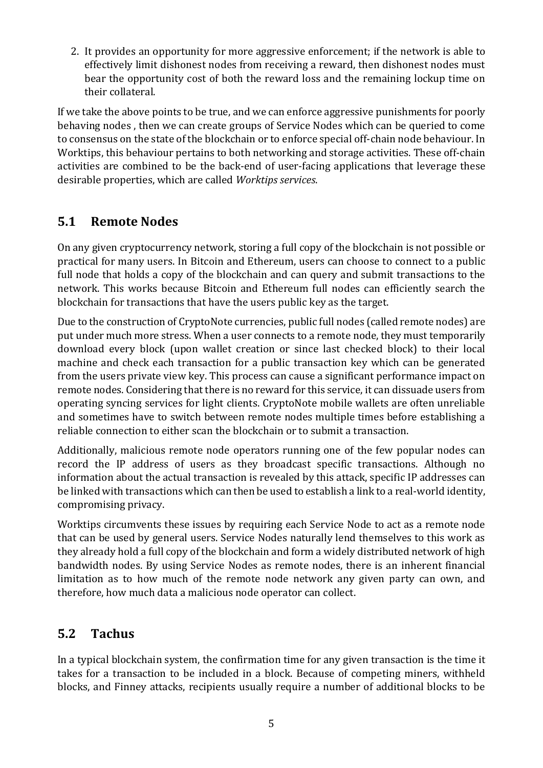2. It provides an opportunity for more aggressive enforcement; if the network is able to effectively limit dishonest nodes from receiving a reward, then dishonest nodes must bear the opportunity cost of both the reward loss and the remaining lockup time on their collateral.

If we take the above points to be true, and we can enforce aggressive punishments for poorly behaving nodes , then we can create groups of Service Nodes which can be queried to come to consensus on the state of the blockchain or to enforce special off-chain node behaviour. In Worktips, this behaviour pertains to both networking and storage activities. These off-chain activities are combined to be the back-end of user-facing applications that leverage these desirable properties, which are called *Worktips services*.

#### **5.1 Remote Nodes**

On any given cryptocurrency network, storing a full copy of the blockchain is not possible or practical for many users. In Bitcoin and Ethereum, users can choose to connect to a public full node that holds a copy of the blockchain and can query and submit transactions to the network. This works because Bitcoin and Ethereum full nodes can efficiently search the blockchain for transactions that have the users public key as the target.

Due to the construction of CryptoNote currencies, public full nodes (called remote nodes) are put under much more stress. When a user connects to a remote node, they must temporarily download every block (upon wallet creation or since last checked block) to their local machine and check each transaction for a public transaction key which can be generated from the users private view key. This process can cause a significant performance impact on remote nodes. Considering that there is no reward for this service, it can dissuade users from operating syncing services for light clients. CryptoNote mobile wallets are often unreliable and sometimes have to switch between remote nodes multiple times before establishing a reliable connection to either scan the blockchain or to submit a transaction.

Additionally, malicious remote node operators running one of the few popular nodes can record the IP address of users as they broadcast specific transactions. Although no information about the actual transaction is revealed by this attack, specific IP addresses can be linked with transactions which can then be used to establish a link to a real-world identity, compromising privacy.

Worktips circumvents these issues by requiring each Service Node to act as a remote node that can be used by general users. Service Nodes naturally lend themselves to this work as they already hold a full copy of the blockchain and form a widely distributed network of high bandwidth nodes. By using Service Nodes as remote nodes, there is an inherent financial limitation as to how much of the remote node network any given party can own, and therefore, how much data a malicious node operator can collect.

#### **5.2 Tachus**

In a typical blockchain system, the confirmation time for any given transaction is the time it takes for a transaction to be included in a block. Because of competing miners, withheld blocks, and Finney attacks, recipients usually require a number of additional blocks to be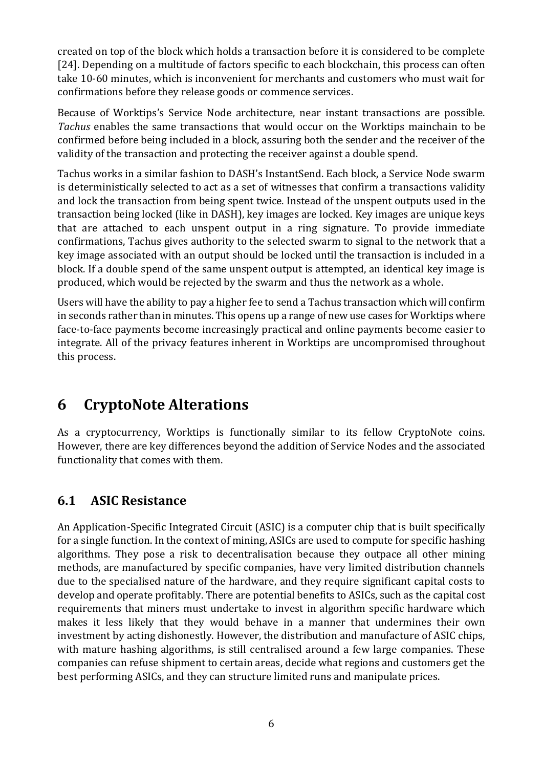created on top of the block which holds a transaction before it is considered to be complete [24]. Depending on a multitude of factors specific to each blockchain, this process can often take 10-60 minutes, which is inconvenient for merchants and customers who must wait for confirmations before they release goods or commence services.

Because of Worktips's Service Node architecture, near instant transactions are possible. *Tachus* enables the same transactions that would occur on the Worktips mainchain to be confirmed before being included in a block, assuring both the sender and the receiver of the validity of the transaction and protecting the receiver against a double spend.

Tachus works in a similar fashion to DASH's InstantSend. Each block, a Service Node swarm is deterministically selected to act as a set of witnesses that confirm a transactions validity and lock the transaction from being spent twice. Instead of the unspent outputs used in the transaction being locked (like in DASH), key images are locked. Key images are unique keys that are attached to each unspent output in a ring signature. To provide immediate confirmations, Tachus gives authority to the selected swarm to signal to the network that a key image associated with an output should be locked until the transaction is included in a block. If a double spend of the same unspent output is attempted, an identical key image is produced, which would be rejected by the swarm and thus the network as a whole.

Users will have the ability to pay a higher fee to send a Tachus transaction which will confirm in seconds rather than in minutes. This opens up a range of new use cases for Worktips where face-to-face payments become increasingly practical and online payments become easier to integrate. All of the privacy features inherent in Worktips are uncompromised throughout this process.

# **6 CryptoNote Alterations**

As a cryptocurrency, Worktips is functionally similar to its fellow CryptoNote coins. However, there are key differences beyond the addition of Service Nodes and the associated functionality that comes with them.

#### **6.1 ASIC Resistance**

An Application-Specific Integrated Circuit (ASIC) is a computer chip that is built specifically for a single function. In the context of mining, ASICs are used to compute for specific hashing algorithms. They pose a risk to decentralisation because they outpace all other mining methods, are manufactured by specific companies, have very limited distribution channels due to the specialised nature of the hardware, and they require significant capital costs to develop and operate profitably. There are potential benefits to ASICs, such as the capital cost requirements that miners must undertake to invest in algorithm specific hardware which makes it less likely that they would behave in a manner that undermines their own investment by acting dishonestly. However, the distribution and manufacture of ASIC chips, with mature hashing algorithms, is still centralised around a few large companies. These companies can refuse shipment to certain areas, decide what regions and customers get the best performing ASICs, and they can structure limited runs and manipulate prices.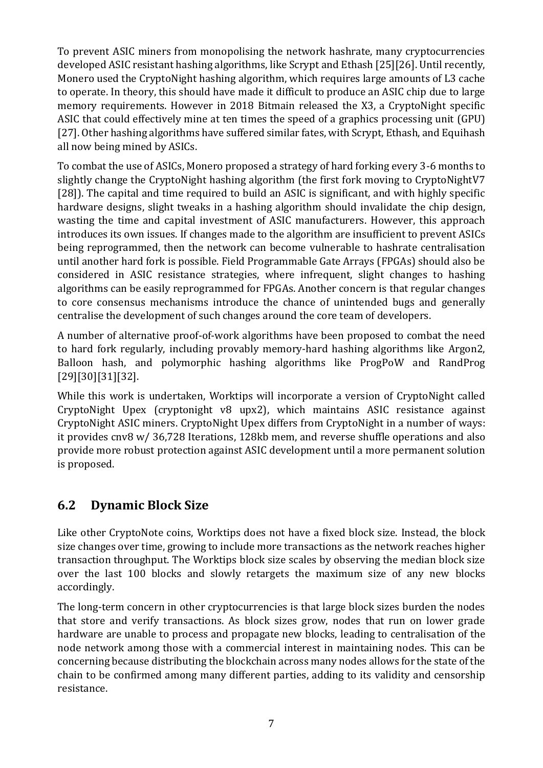To prevent ASIC miners from monopolising the network hashrate, many cryptocurrencies developed ASIC resistant hashing algorithms, like Scrypt and Ethash [25][26]. Until recently, Monero used the CryptoNight hashing algorithm, which requires large amounts of L3 cache to operate. In theory, this should have made it difficult to produce an ASIC chip due to large memory requirements. However in 2018 Bitmain released the X3, a CryptoNight specific ASIC that could effectively mine at ten times the speed of a graphics processing unit (GPU) [27]. Other hashing algorithms have suffered similar fates, with Scrypt, Ethash, and Equihash all now being mined by ASICs.

To combat the use of ASICs, Monero proposed a strategy of hard forking every 3-6 months to slightly change the CryptoNight hashing algorithm (the first fork moving to CryptoNightV7 [28]). The capital and time required to build an ASIC is significant, and with highly specific hardware designs, slight tweaks in a hashing algorithm should invalidate the chip design, wasting the time and capital investment of ASIC manufacturers. However, this approach introduces its own issues. If changes made to the algorithm are insufficient to prevent ASICs being reprogrammed, then the network can become vulnerable to hashrate centralisation until another hard fork is possible. Field Programmable Gate Arrays (FPGAs) should also be considered in ASIC resistance strategies, where infrequent, slight changes to hashing algorithms can be easily reprogrammed for FPGAs. Another concern is that regular changes to core consensus mechanisms introduce the chance of unintended bugs and generally centralise the development of such changes around the core team of developers.

A number of alternative proof-of-work algorithms have been proposed to combat the need to hard fork regularly, including provably memory-hard hashing algorithms like Argon2, Balloon hash, and polymorphic hashing algorithms like ProgPoW and RandProg [29][30][31][32].

While this work is undertaken, Worktips will incorporate a version of CryptoNight called CryptoNight Upex (cryptonight v8 upx2), which maintains ASIC resistance against CryptoNight ASIC miners. CryptoNight Upex differs from CryptoNight in a number of ways: it provides cnv8 w/ 36,728 Iterations, 128kb mem, and reverse shuffle operations and also provide more robust protection against ASIC development until a more permanent solution is proposed.

#### **6.2 Dynamic Block Size**

Like other CryptoNote coins, Worktips does not have a fixed block size. Instead, the block size changes over time, growing to include more transactions as the network reaches higher transaction throughput. The Worktips block size scales by observing the median block size over the last 100 blocks and slowly retargets the maximum size of any new blocks accordingly.

The long-term concern in other cryptocurrencies is that large block sizes burden the nodes that store and verify transactions. As block sizes grow, nodes that run on lower grade hardware are unable to process and propagate new blocks, leading to centralisation of the node network among those with a commercial interest in maintaining nodes. This can be concerning because distributing the blockchain across many nodes allows for the state of the chain to be confirmed among many different parties, adding to its validity and censorship resistance.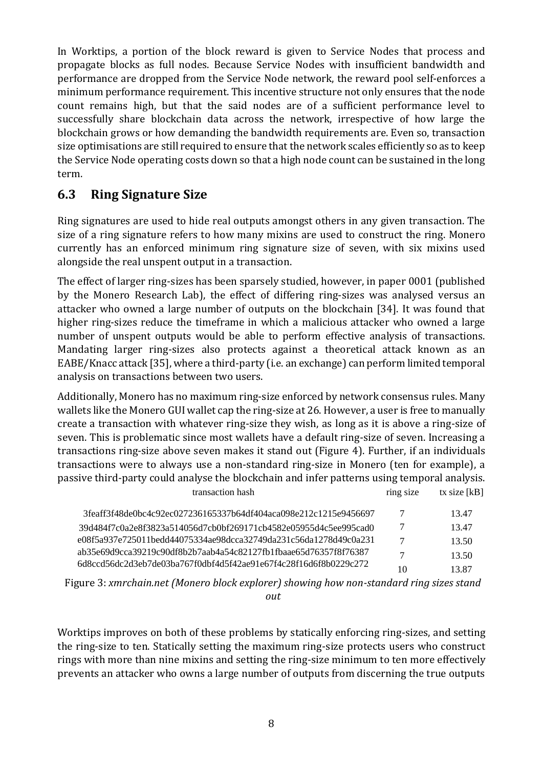In Worktips, a portion of the block reward is given to Service Nodes that process and propagate blocks as full nodes. Because Service Nodes with insufficient bandwidth and performance are dropped from the Service Node network, the reward pool self-enforces a minimum performance requirement. This incentive structure not only ensures that the node count remains high, but that the said nodes are of a sufficient performance level to successfully share blockchain data across the network, irrespective of how large the blockchain grows or how demanding the bandwidth requirements are. Even so, transaction size optimisations are still required to ensure that the network scales efficiently so as to keep the Service Node operating costs down so that a high node count can be sustained in the long term.

#### **6.3 Ring Signature Size**

Ring signatures are used to hide real outputs amongst others in any given transaction. The size of a ring signature refers to how many mixins are used to construct the ring. Monero currently has an enforced minimum ring signature size of seven, with six mixins used alongside the real unspent output in a transaction.

The effect of larger ring-sizes has been sparsely studied, however, in paper 0001 (published by the Monero Research Lab), the effect of differing ring-sizes was analysed versus an attacker who owned a large number of outputs on the blockchain [34]. It was found that higher ring-sizes reduce the timeframe in which a malicious attacker who owned a large number of unspent outputs would be able to perform effective analysis of transactions. Mandating larger ring-sizes also protects against a theoretical attack known as an EABE/Knacc attack [35], where a third-party (i.e. an exchange) can perform limited temporal analysis on transactions between two users.

Additionally, Monero has no maximum ring-size enforced by network consensus rules. Many wallets like the Monero GUI wallet cap the ring-size at 26. However, a user is free to manually create a transaction with whatever ring-size they wish, as long as it is above a ring-size of seven. This is problematic since most wallets have a default ring-size of seven. Increasing a transactions ring-size above seven makes it stand out (Figure 4). Further, if an individuals transactions were to always use a non-standard ring-size in Monero (ten for example), a passive third-party could analyse the blockchain and infer patterns using temporal analysis. transaction hash ring size tx size [kB]

| 3feaff3f48de0bc4c92ec027236165337b64df404aca098e212c1215e9456697                                                                                                                                         |    | 13.47 |
|----------------------------------------------------------------------------------------------------------------------------------------------------------------------------------------------------------|----|-------|
| 39d484f7c0a2e8f3823a514056d7cb0bf269171cb4582e05955d4c5ee995cad0                                                                                                                                         |    | 13.47 |
| e08f5a937e725011bedd44075334ae98dcca32749da231c56da1278d49c0a231<br>ab35e69d9cca39219c90df8b2b7aab4a54c82127fb1fbaae65d76357f8f76387<br>6d8ccd56dc2d3eb7de03ba767f0dbf4d5f42ae91e67f4c28f16d6f8b0229c272 |    | 13.50 |
|                                                                                                                                                                                                          |    | 13.50 |
|                                                                                                                                                                                                          | 10 | 13.87 |

Figure 3: *xmrchain.net (Monero block explorer) showing how non-standard ring sizes stand out*

Worktips improves on both of these problems by statically enforcing ring-sizes, and setting the ring-size to ten. Statically setting the maximum ring-size protects users who construct rings with more than nine mixins and setting the ring-size minimum to ten more effectively prevents an attacker who owns a large number of outputs from discerning the true outputs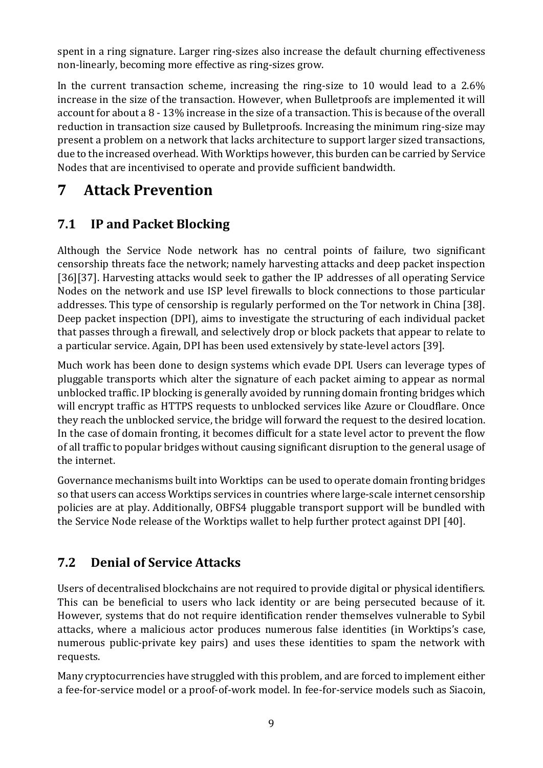spent in a ring signature. Larger ring-sizes also increase the default churning effectiveness non-linearly, becoming more effective as ring-sizes grow.

In the current transaction scheme, increasing the ring-size to 10 would lead to a 2.6% increase in the size of the transaction. However, when Bulletproofs are implemented it will account for about a 8 - 13% increase in the size of a transaction. This is because of the overall reduction in transaction size caused by Bulletproofs. Increasing the minimum ring-size may present a problem on a network that lacks architecture to support larger sized transactions, due to the increased overhead. With Worktips however, this burden can be carried by Service Nodes that are incentivised to operate and provide sufficient bandwidth.

# **7 Attack Prevention**

### **7.1 IP and Packet Blocking**

Although the Service Node network has no central points of failure, two significant censorship threats face the network; namely harvesting attacks and deep packet inspection [36][37]. Harvesting attacks would seek to gather the IP addresses of all operating Service Nodes on the network and use ISP level firewalls to block connections to those particular addresses. This type of censorship is regularly performed on the Tor network in China [38]. Deep packet inspection (DPI), aims to investigate the structuring of each individual packet that passes through a firewall, and selectively drop or block packets that appear to relate to a particular service. Again, DPI has been used extensively by state-level actors [39].

Much work has been done to design systems which evade DPI. Users can leverage types of pluggable transports which alter the signature of each packet aiming to appear as normal unblocked traffic. IP blocking is generally avoided by running domain fronting bridges which will encrypt traffic as HTTPS requests to unblocked services like Azure or Cloudflare. Once they reach the unblocked service, the bridge will forward the request to the desired location. In the case of domain fronting, it becomes difficult for a state level actor to prevent the flow of all traffic to popular bridges without causing significant disruption to the general usage of the internet.

Governance mechanisms built into Worktips can be used to operate domain fronting bridges so that users can access Worktips services in countries where large-scale internet censorship policies are at play. Additionally, OBFS4 pluggable transport support will be bundled with the Service Node release of the Worktips wallet to help further protect against DPI [40].

### **7.2 Denial of Service Attacks**

Users of decentralised blockchains are not required to provide digital or physical identifiers. This can be beneficial to users who lack identity or are being persecuted because of it. However, systems that do not require identification render themselves vulnerable to Sybil attacks, where a malicious actor produces numerous false identities (in Worktips's case, numerous public-private key pairs) and uses these identities to spam the network with requests.

Many cryptocurrencies have struggled with this problem, and are forced to implement either a fee-for-service model or a proof-of-work model. In fee-for-service models such as Siacoin,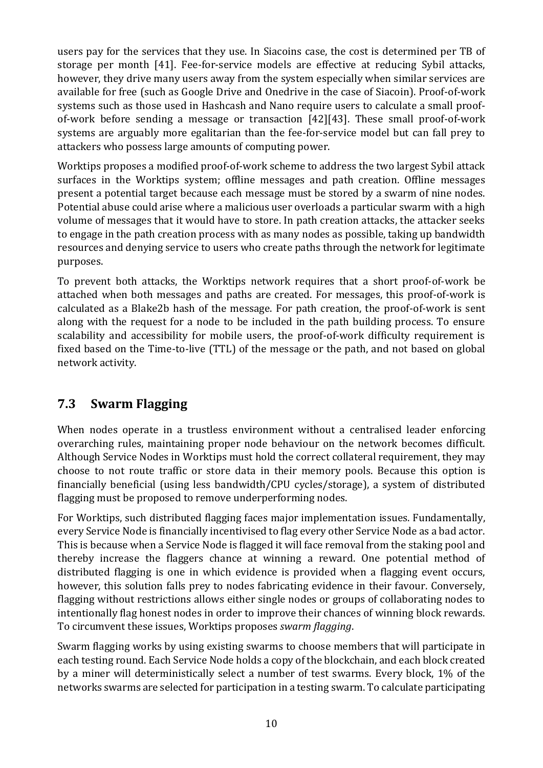users pay for the services that they use. In Siacoins case, the cost is determined per TB of storage per month [41]. Fee-for-service models are effective at reducing Sybil attacks, however, they drive many users away from the system especially when similar services are available for free (such as Google Drive and Onedrive in the case of Siacoin). Proof-of-work systems such as those used in Hashcash and Nano require users to calculate a small proofof-work before sending a message or transaction [42][43]. These small proof-of-work systems are arguably more egalitarian than the fee-for-service model but can fall prey to attackers who possess large amounts of computing power.

Worktips proposes a modified proof-of-work scheme to address the two largest Sybil attack surfaces in the Worktips system; offline messages and path creation. Offline messages present a potential target because each message must be stored by a swarm of nine nodes. Potential abuse could arise where a malicious user overloads a particular swarm with a high volume of messages that it would have to store. In path creation attacks, the attacker seeks to engage in the path creation process with as many nodes as possible, taking up bandwidth resources and denying service to users who create paths through the network for legitimate purposes.

To prevent both attacks, the Worktips network requires that a short proof-of-work be attached when both messages and paths are created. For messages, this proof-of-work is calculated as a Blake2b hash of the message. For path creation, the proof-of-work is sent along with the request for a node to be included in the path building process. To ensure scalability and accessibility for mobile users, the proof-of-work difficulty requirement is fixed based on the Time-to-live (TTL) of the message or the path, and not based on global network activity.

### **7.3 Swarm Flagging**

When nodes operate in a trustless environment without a centralised leader enforcing overarching rules, maintaining proper node behaviour on the network becomes difficult. Although Service Nodes in Worktips must hold the correct collateral requirement, they may choose to not route traffic or store data in their memory pools. Because this option is financially beneficial (using less bandwidth/CPU cycles/storage), a system of distributed flagging must be proposed to remove underperforming nodes.

For Worktips, such distributed flagging faces major implementation issues. Fundamentally, every Service Node is financially incentivised to flag every other Service Node as a bad actor. This is because when a Service Node is flagged it will face removal from the staking pool and thereby increase the flaggers chance at winning a reward. One potential method of distributed flagging is one in which evidence is provided when a flagging event occurs, however, this solution falls prey to nodes fabricating evidence in their favour. Conversely, flagging without restrictions allows either single nodes or groups of collaborating nodes to intentionally flag honest nodes in order to improve their chances of winning block rewards. To circumvent these issues, Worktips proposes *swarm flagging*.

Swarm flagging works by using existing swarms to choose members that will participate in each testing round. Each Service Node holds a copy of the blockchain, and each block created by a miner will deterministically select a number of test swarms. Every block, 1% of the networks swarms are selected for participation in a testing swarm. To calculate participating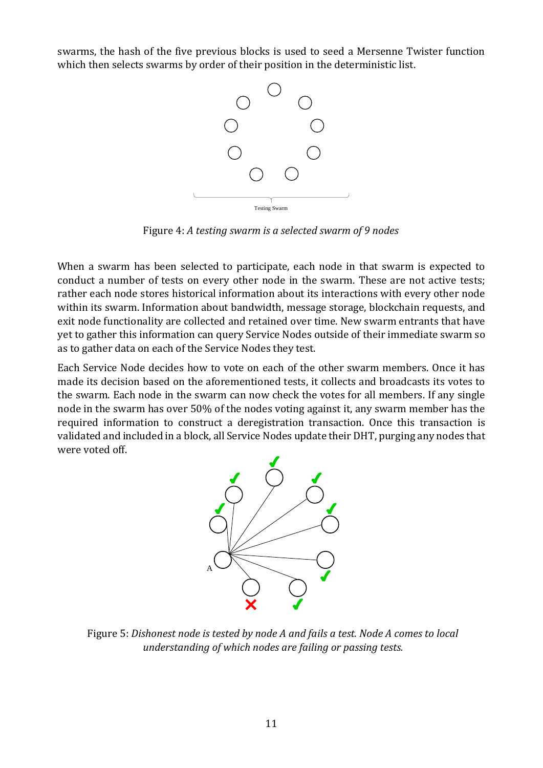swarms, the hash of the five previous blocks is used to seed a Mersenne Twister function which then selects swarms by order of their position in the deterministic list.



Figure 4: *A testing swarm is a selected swarm of 9 nodes*

When a swarm has been selected to participate, each node in that swarm is expected to conduct a number of tests on every other node in the swarm. These are not active tests; rather each node stores historical information about its interactions with every other node within its swarm. Information about bandwidth, message storage, blockchain requests, and exit node functionality are collected and retained over time. New swarm entrants that have yet to gather this information can query Service Nodes outside of their immediate swarm so as to gather data on each of the Service Nodes they test.

Each Service Node decides how to vote on each of the other swarm members. Once it has made its decision based on the aforementioned tests, it collects and broadcasts its votes to the swarm. Each node in the swarm can now check the votes for all members. If any single node in the swarm has over 50% of the nodes voting against it, any swarm member has the required information to construct a deregistration transaction. Once this transaction is validated and included in a block, all Service Nodes update their DHT, purging any nodes that were voted off.



Figure 5: *Dishonest node is tested by node A and fails a test. Node A comes to local understanding of which nodes are failing or passing tests.*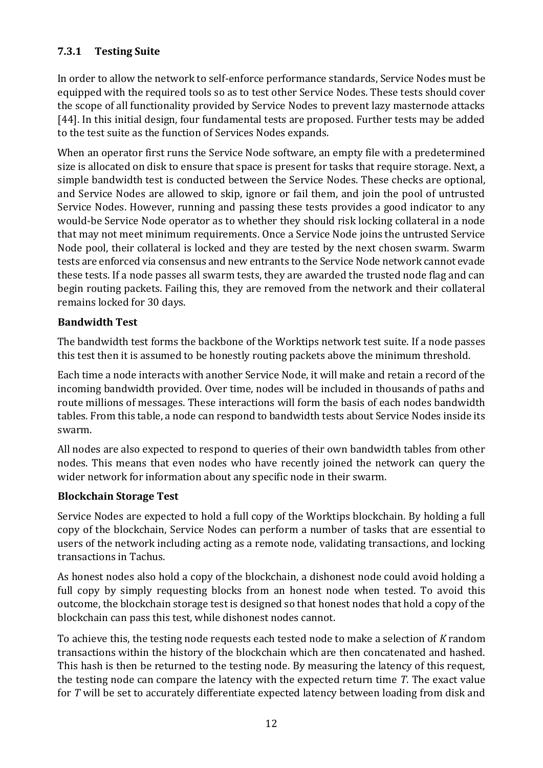#### **7.3.1 Testing Suite**

In order to allow the network to self-enforce performance standards, Service Nodes must be equipped with the required tools so as to test other Service Nodes. These tests should cover the scope of all functionality provided by Service Nodes to prevent lazy masternode attacks [44]. In this initial design, four fundamental tests are proposed. Further tests may be added to the test suite as the function of Services Nodes expands.

When an operator first runs the Service Node software, an empty file with a predetermined size is allocated on disk to ensure that space is present for tasks that require storage. Next, a simple bandwidth test is conducted between the Service Nodes. These checks are optional, and Service Nodes are allowed to skip, ignore or fail them, and join the pool of untrusted Service Nodes. However, running and passing these tests provides a good indicator to any would-be Service Node operator as to whether they should risk locking collateral in a node that may not meet minimum requirements. Once a Service Node joins the untrusted Service Node pool, their collateral is locked and they are tested by the next chosen swarm. Swarm tests are enforced via consensus and new entrants to the Service Node network cannot evade these tests. If a node passes all swarm tests, they are awarded the trusted node flag and can begin routing packets. Failing this, they are removed from the network and their collateral remains locked for 30 days.

#### **Bandwidth Test**

The bandwidth test forms the backbone of the Worktips network test suite. If a node passes this test then it is assumed to be honestly routing packets above the minimum threshold.

Each time a node interacts with another Service Node, it will make and retain a record of the incoming bandwidth provided. Over time, nodes will be included in thousands of paths and route millions of messages. These interactions will form the basis of each nodes bandwidth tables. From this table, a node can respond to bandwidth tests about Service Nodes inside its swarm.

All nodes are also expected to respond to queries of their own bandwidth tables from other nodes. This means that even nodes who have recently joined the network can query the wider network for information about any specific node in their swarm.

#### **Blockchain Storage Test**

Service Nodes are expected to hold a full copy of the Worktips blockchain. By holding a full copy of the blockchain, Service Nodes can perform a number of tasks that are essential to users of the network including acting as a remote node, validating transactions, and locking transactions in Tachus.

As honest nodes also hold a copy of the blockchain, a dishonest node could avoid holding a full copy by simply requesting blocks from an honest node when tested. To avoid this outcome, the blockchain storage test is designed so that honest nodes that hold a copy of the blockchain can pass this test, while dishonest nodes cannot.

To achieve this, the testing node requests each tested node to make a selection of *K* random transactions within the history of the blockchain which are then concatenated and hashed. This hash is then be returned to the testing node. By measuring the latency of this request, the testing node can compare the latency with the expected return time *T*. The exact value for *T* will be set to accurately differentiate expected latency between loading from disk and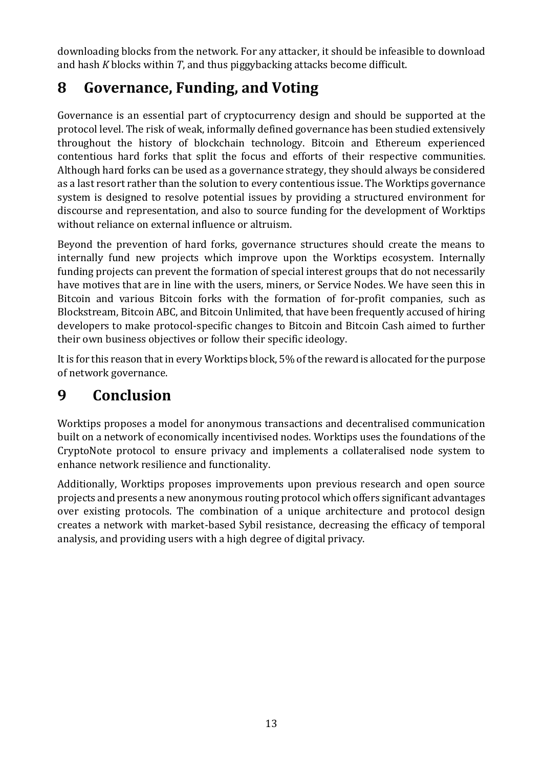downloading blocks from the network. For any attacker, it should be infeasible to download and hash *K* blocks within *T*, and thus piggybacking attacks become difficult.

# **8 Governance, Funding, and Voting**

Governance is an essential part of cryptocurrency design and should be supported at the protocol level. The risk of weak, informally defined governance has been studied extensively throughout the history of blockchain technology. Bitcoin and Ethereum experienced contentious hard forks that split the focus and efforts of their respective communities. Although hard forks can be used as a governance strategy, they should always be considered as a last resort rather than the solution to every contentious issue. The Worktips governance system is designed to resolve potential issues by providing a structured environment for discourse and representation, and also to source funding for the development of Worktips without reliance on external influence or altruism.

Beyond the prevention of hard forks, governance structures should create the means to internally fund new projects which improve upon the Worktips ecosystem. Internally funding projects can prevent the formation of special interest groups that do not necessarily have motives that are in line with the users, miners, or Service Nodes. We have seen this in Bitcoin and various Bitcoin forks with the formation of for-profit companies, such as Blockstream, Bitcoin ABC, and Bitcoin Unlimited, that have been frequently accused of hiring developers to make protocol-specific changes to Bitcoin and Bitcoin Cash aimed to further their own business objectives or follow their specific ideology.

It is for this reason that in every Worktips block, 5% of the reward is allocated for the purpose of network governance.

# **9 Conclusion**

Worktips proposes a model for anonymous transactions and decentralised communication built on a network of economically incentivised nodes. Worktips uses the foundations of the CryptoNote protocol to ensure privacy and implements a collateralised node system to enhance network resilience and functionality.

Additionally, Worktips proposes improvements upon previous research and open source projects and presents a new anonymous routing protocol which offers significant advantages over existing protocols. The combination of a unique architecture and protocol design creates a network with market-based Sybil resistance, decreasing the efficacy of temporal analysis, and providing users with a high degree of digital privacy.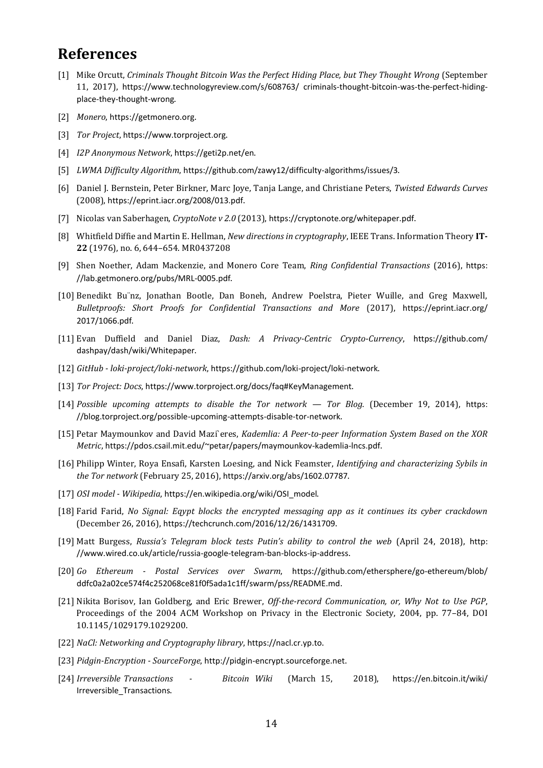#### **References**

- [1] Mike Orcutt, *Criminals Thought Bitcoin Was the Perfect Hiding Place, but They Thought Wrong* (September 11, 2017), [https://www.technologyreview.com/s/608763/ criminals-thought-bitcoin-was-the-perfect-hiding](https://www.technologyreview.com/s/608763/criminals-thought-bitcoin-was-the-perfect-hiding-place-they-thought-wrong)[place-they-thought-wrong](https://www.technologyreview.com/s/608763/criminals-thought-bitcoin-was-the-perfect-hiding-place-they-thought-wrong).
- [2] *Monero*, [https://getmonero.org](https://getmonero.org/).
- [3] *Tor Project*, [https://www.torproject.org](https://www.torproject.org/).
- [4] *I2P Anonymous Network*, <https://geti2p.net/en>[.](https://geti2p.net/en)
- [5] *LWMA Difficulty Algorithm*, <https://github.com/zawy12/difficulty-algorithms/issues/3>.
- [6] Daniel J. Bernstein, Peter Birkner, Marc Joye, Tanja Lange, and Christiane Peters, *Twisted Edwards Curves*  (2008), <https://eprint.iacr.org/2008/013.pdf>[.](https://eprint.iacr.org/2008/013.pdf)
- [7] Nicolas van Saberhagen, *CryptoNote v 2.0* (2013), <https://cryptonote.org/whitepaper.pdf>.
- [8] Whitfield Diffie and Martin E. Hellman, *New directions in cryptography*, IEEE Trans. Information Theory **IT-22** (1976), no. 6, 644–654. MR0437208
- [9] Shen Noether, Adam Mackenzie, and Monero Core Team, *Ring Confidential Transactions* (2016), [https:](https://lab.getmonero.org/pubs/MRL-0005.pdf)  [//lab.getmonero.org/pubs/MRL-0005.pdf](https://lab.getmonero.org/pubs/MRL-0005.pdf)[.](https://lab.getmonero.org/pubs/MRL-0005.pdf)
- [10] Benedikt Bu¨nz, Jonathan Bootle, Dan Boneh, Andrew Poelstra, Pieter Wuille, and Greg Maxwell, *Bulletproofs: Short Proofs for Confidential Transactions and More* (2017), [https://eprint.iacr.org/](https://eprint.iacr.org/2017/1066.pdf)  [2017/1066.pdf](https://eprint.iacr.org/2017/1066.pdf).
- [11] Evan Duffield and Daniel Diaz, *Dash: A Privacy-Centric Crypto-Currency*, [https://github.com/](https://github.com/dashpay/dash/wiki/Whitepaper)  [dashpay/dash/wiki/Whitepaper](https://github.com/dashpay/dash/wiki/Whitepaper).
- [12] *GitHub - loki-project/loki-network*, <https://github.com/loki-project/loki-network>.
- [13] *Tor Project: Docs*, <https://www.torproject.org/docs/faq#KeyManagement>[.](https://www.torproject.org/docs/faq#KeyManagement)
- [14] *Possible upcoming attempts to disable the Tor network — Tor Blog.* (December 19, 2014), [https:](https://blog.torproject.org/possible-upcoming-attempts-disable-tor-network)  [//blog.torproject.org/possible-upcoming-attempts-disable-tor-network](https://blog.torproject.org/possible-upcoming-attempts-disable-tor-network).
- [15] Petar Maymounkov and David Mazi`eres, *Kademlia: A Peer-to-peer Information System Based on the XOR Metric*, <https://pdos.csail.mit.edu/~petar/papers/maymounkov-kademlia-lncs.pdf>.
- [16] Philipp Winter, Roya Ensafi, Karsten Loesing, and Nick Feamster, *Identifying and characterizing Sybils in the Tor network* (February 25, 2016), <https://arxiv.org/abs/1602.07787>.
- [17] *OSI model - Wikipedia*, [https://en.wikipedia.org/wiki/OSI\\_model](https://en.wikipedia.org/wiki/OSI_model)[.](https://en.wikipedia.org/wiki/OSI_model)
- [18] Farid Farid, *No Signal: Eqypt blocks the encrypted messaging app as it continues its cyber crackdown*  (December 26, 2016), <https://techcrunch.com/2016/12/26/1431709>[.](https://techcrunch.com/2016/12/26/1431709)
- [19] Matt Burgess, *Russia's Telegram block tests Putin's ability to control the web* (April 24, 2018), [http:](http://www.wired.co.uk/article/russia-google-telegram-ban-blocks-ip-address)  [//www.wired.co.uk/article/russia-google-telegram-ban-blocks-ip-address](http://www.wired.co.uk/article/russia-google-telegram-ban-blocks-ip-address).
- [20] *Go Ethereum - Postal Services over Swarm*, [https://github.com/ethersphere/go-ethereum/blob/](https://github.com/ethersphere/go-ethereum/blob/ddfc0a2a02ce574f4c252068ce81f0f5ada1c1ff/swarm/pss/README.md)  [ddfc0a2a02ce574f4c252068ce81f0f5ada1c1ff/swarm/pss/README.md](https://github.com/ethersphere/go-ethereum/blob/ddfc0a2a02ce574f4c252068ce81f0f5ada1c1ff/swarm/pss/README.md)[.](https://github.com/ethersphere/go-ethereum/blob/ddfc0a2a02ce574f4c252068ce81f0f5ada1c1ff/swarm/pss/README.md)
- [21] Nikita Borisov, Ian Goldberg, and Eric Brewer, *Off-the-record Communication, or, Why Not to Use PGP*, Proceedings of the 2004 ACM Workshop on Privacy in the Electronic Society, 2004, pp. 77–84, DOI 10.1145/1029179.1029200.
- [22] *NaCl: Networking and Cryptography library*, [https://nacl.cr.yp.to](https://nacl.cr.yp.to/).
- [23] *Pidgin-Encryption - SourceForge*, [http://pidgin-encrypt.sourceforge.net](http://pidgin-encrypt.sourceforge.net/).
- [24] *Irreversible Transactions - Bitcoin Wiki* (March 15, 2018), [https://en.bitcoin.it/wiki/](https://en.bitcoin.it/wiki/Irreversible_Transactions)  [Irreversible\\_Transactions](https://en.bitcoin.it/wiki/Irreversible_Transactions).